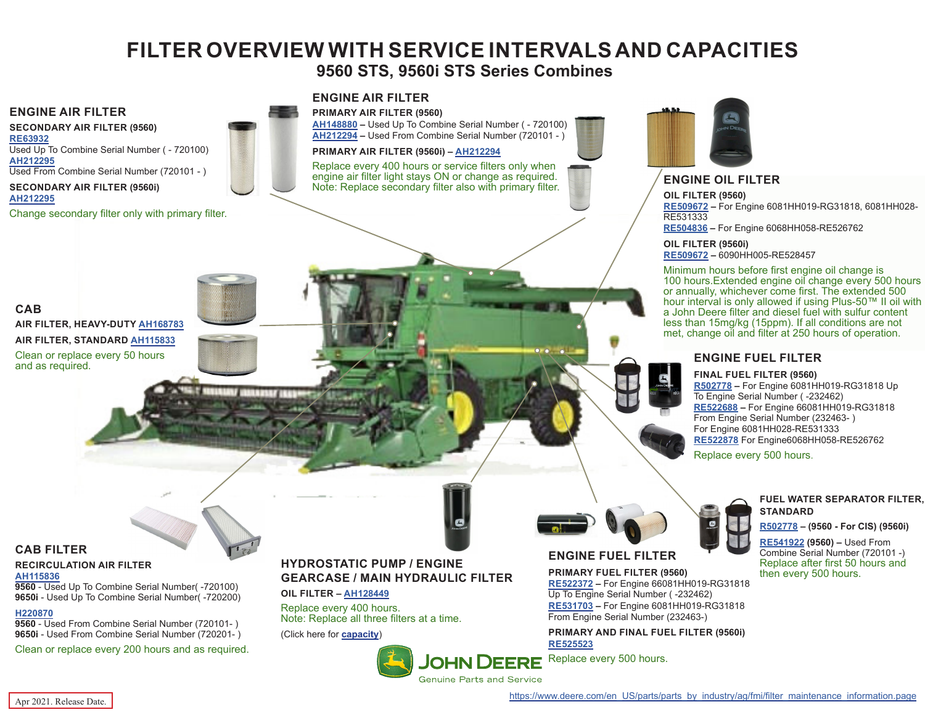# **FILTER OVERVIEW WITH SERVICE INTERVALS AND CAPACITIES**

# **9560 STS, 9560i STS Series Combines**

## <span id="page-0-0"></span>**ENGINE AIR FILTER**

**SECONDARY AIR FILTER (9560) [RE63932](https://jdparts.deere.com/servlet/com.deere.u90.jdparts.view.servlets.partinfocontroller.PartDetails?screenName=JDSearch&&partSearchNumber=RE63932)** Used Up To Combine Serial Number ( - 720100) **[AH212295](https://jdparts.deere.com/servlet/com.deere.u90.jdparts.view.servlets.partinfocontroller.PartDetails?screenName=JDSearch&&partSearchNumber=AH212295)** Used From Combine Serial Number (720101 - ) **SECONDARY AIR FILTER (9560i)**

#### **[AH212295](https://jdparts.deere.com/servlet/com.deere.u90.jdparts.view.servlets.partinfocontroller.PartDetails?screenName=JDSearch&&partSearchNumber=AH212295)**

Change secondary filter only with primary filter.

### **ENGINE AIR FILTER**



**[AH148880](https://jdparts.deere.com/servlet/com.deere.u90.jdparts.view.servlets.partinfocontroller.PartDetails?screenName=JDSearch&&partSearchNumber=AH148880) –** Used Up To Combine Serial Number ( - 720100) **[AH212294](https://jdparts.deere.com/servlet/com.deere.u90.jdparts.view.servlets.partinfocontroller.PartDetails?screenName=JDSearch&&partSearchNumber=AH212294) –** Used From Combine Serial Number (720101 - )

#### **PRIMARY AIR FILTER (9560i) – [AH212294](https://jdparts.deere.com/servlet/com.deere.u90.jdparts.view.servlets.partinfocontroller.PartDetails?screenName=JDSearch&&partSearchNumber=AH212294)**

Replace every 400 hours or service filters only when engine air filter light stays ON or change as required. engine air filter light stays ON or change as required. **ENGINE OIL FILTER**<br>Note: Replace secondary filter also with primary filter.



**OIL FILTER (9560)**

**[RE509672](https://jdparts.deere.com/servlet/com.deere.u90.jdparts.view.servlets.partinfocontroller.PartDetails?screenName=JDSearch&&partSearchNumber=RE509672) –** For Engine 6081HH019-RG31818, 6081HH028- RE531333 **[RE504836](https://jdparts.deere.com/servlet/com.deere.u90.jdparts.view.servlets.partinfocontroller.PartDetails?screenName=JDSearch&&partSearchNumber=RE504836) –** For Engine 6068HH058-RE526762

#### **OIL FILTER (9560i) [RE509672](https://jdparts.deere.com/servlet/com.deere.u90.jdparts.view.servlets.partinfocontroller.PartDetails?screenName=JDSearch&&partSearchNumber=RE509672) –** 6090HH005-RE528457

Minimum hours before first engine oil change is 100 hours.Extended engine oil change every 500 hours or annually, whichever come first. The extended 500 hour interval is only allowed if using Plus-50™ II oil with a John Deere filter and diesel fuel with sulfur content less than 15mg/kg (15ppm). If all conditions are not met, change oil and filter at 250 hours of operation.

### **ENGINE FUEL FILTER**

#### **FINAL FUEL FILTER (9560)**

**[R502778](https://jdparts.deere.com/servlet/com.deere.u90.jdparts.view.servlets.partinfocontroller.PartDetails?screenName=JDSearch&&partSearchNumber=R502778) –** For Engine 6081HH019-RG31818 Up To Engine Serial Number ( -232462) **[RE522688](https://jdparts.deere.com/servlet/com.deere.u90.jdparts.view.servlets.partinfocontroller.PartDetails?screenName=JDSearch&&partSearchNumber=RE522688) –** For Engine 66081HH019-RG31818 From Engine Serial Number (232463- ) For Engine 6081HH028-RE531333 **[RE522878](https://jdparts.deere.com/servlet/com.deere.u90.jdparts.view.servlets.partinfocontroller.PartDetails?screenName=JDSearch&&partSearchNumber=RE522878)** For Engine6068HH058-RE526762

Replace every 500 hours.

#### **FUEL WATER SEPARATOR FILTER, STANDARD**

#### **[R502778](https://jdparts.deere.com/servlet/com.deere.u90.jdparts.view.servlets.partinfocontroller.PartDetails?screenName=JDSearch&&partSearchNumber=R502778) – (9560 - For CIS) (9560i)**

**[RE541922](https://jdparts.deere.com/servlet/com.deere.u90.jdparts.view.servlets.partinfocontroller.PartDetails?screenName=JDSearch&&partSearchNumber=RE541922) (9560) –** Used From Combine Serial Number (720101 -) Replace after first 50 hours and then every 500 hours.

# **CAB AIR FILTER, HEAVY-DUTY [AH168783](https://jdparts.deere.com/servlet/com.deere.u90.jdparts.view.servlets.partinfocontroller.PartDetails?screenName=JDSearch&&partSearchNumber=AH168783) AIR FILTER, STANDARD [AH115833](https://jdparts.deere.com/servlet/com.deere.u90.jdparts.view.servlets.partinfocontroller.PartDetails?screenName=JDSearch&&partSearchNumber=AH115833)** Clean or replace every 50 hours and as required.

# **CAB FILTER**

#### **RECIRCULATION AIR FILTER [AH115836](https://jdparts.deere.com/servlet/com.deere.u90.jdparts.view.servlets.partinfocontroller.PartDetails?screenName=JDSearch&&partSearchNumber=AH115836)**

**9560** - Used Up To Combine Serial Number( -720100) **9650i** - Used Up To Combine Serial Number( -720200)

# **[H220870](https://jdparts.deere.com/servlet/com.deere.u90.jdparts.view.servlets.partinfocontroller.PartDetails?screenName=JDSearch&&partSearchNumber=h220870)**

**9560** - Used From Combine Serial Number (720101- ) **9650i** - Used From Combine Serial Number (720201- )

Clean or replace every 200 hours and as required.

# **HYDROSTATIC PUMP / ENGINE GEARCASE / MAIN HYDRAULIC FILTER**

**OIL FILTER – [AH128449](https://jdparts.deere.com/servlet/com.deere.u90.jdparts.view.servlets.partinfocontroller.PartDetails?screenName=JDSearch&&partSearchNumber=AH128449)**

Replace every 400 hours. Note: Replace all three filters at a time.

(Click here for **[capacity](#page-1-0)**)

# **ENGINE FUEL FILTER**

**PRIMARY FUEL FILTER (9560) [RE522372](https://jdparts.deere.com/servlet/com.deere.u90.jdparts.view.servlets.partinfocontroller.PartDetails?screenName=JDSearch&&partSearchNumber=RE522372) –** For Engine 66081HH019-RG31818 Up To Engine Serial Number ( -232462) **[RE531703](https://jdparts.deere.com/servlet/com.deere.u90.jdparts.view.servlets.partinfocontroller.PartDetails?screenName=JDSearch&&partSearchNumber=RE531703) –** For Engine 6081HH019-RG31818 From Engine Serial Number (232463-)

**PRIMARY AND FINAL FUEL FILTER (9560i) [RE525523](https://jdparts.deere.com/servlet/com.deere.u90.jdparts.view.servlets.partinfocontroller.PartDetails?screenName=JDSearch&&partSearchNumber=RE525523)**

Replace every 500 hours.